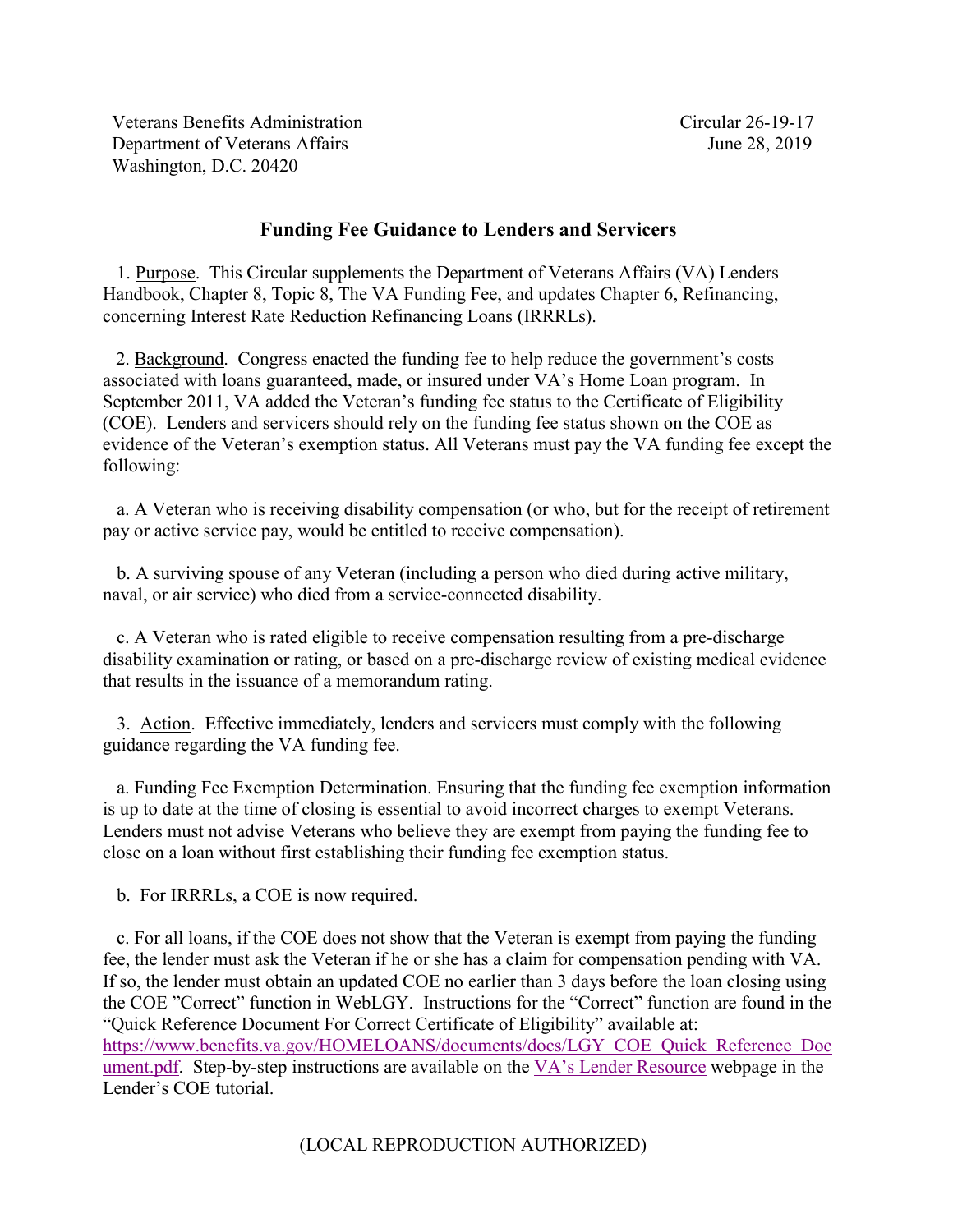Veterans Benefits Administration Circular 26-19-17 Department of Veterans Affairs **June 28, 2019** Washington, D.C. 20420

## **Funding Fee Guidance to Lenders and Servicers**

 1. Purpose. This Circular supplements the Department of Veterans Affairs (VA) Lenders Handbook, Chapter 8, Topic 8, The VA Funding Fee, and updates Chapter 6, Refinancing, concerning Interest Rate Reduction Refinancing Loans (IRRRLs).

 2. Background. Congress enacted the funding fee to help reduce the government's costs associated with loans guaranteed, made, or insured under VA's Home Loan program. In September 2011, VA added the Veteran's funding fee status to the Certificate of Eligibility (COE). Lenders and servicers should rely on the funding fee status shown on the COE as evidence of the Veteran's exemption status. All Veterans must pay the VA funding fee except the following:

 a. A Veteran who is receiving disability compensation (or who, but for the receipt of retirement pay or active service pay, would be entitled to receive compensation).

 b. A surviving spouse of any Veteran (including a person who died during active military, naval, or air service) who died from a service-connected disability.

 c. A Veteran who is rated eligible to receive compensation resulting from a pre-discharge disability examination or rating, or based on a pre-discharge review of existing medical evidence that results in the issuance of a memorandum rating.

 3. Action. Effective immediately, lenders and servicers must comply with the following guidance regarding the VA funding fee.

 a. Funding Fee Exemption Determination. Ensuring that the funding fee exemption information is up to date at the time of closing is essential to avoid incorrect charges to exempt Veterans. Lenders must not advise Veterans who believe they are exempt from paying the funding fee to close on a loan without first establishing their funding fee exemption status.

b. For IRRRLs, a COE is now required.

 c. For all loans, if the COE does not show that the Veteran is exempt from paying the funding fee, the lender must ask the Veteran if he or she has a claim for compensation pending with VA. If so, the lender must obtain an updated COE no earlier than 3 days before the loan closing using the COE "Correct" function in WebLGY. Instructions for the "Correct" function are found in the "Quick Reference Document For Correct Certificate of Eligibility" available at: [https://www.benefits.va.gov/HOMELOANS/documents/docs/LGY\\_COE\\_Quick\\_Reference\\_Doc](https://www.benefits.va.gov/HOMELOANS/documents/docs/LGY_COE_Quick_Reference_Document.pdf) [ument.pdf.](https://www.benefits.va.gov/HOMELOANS/documents/docs/LGY_COE_Quick_Reference_Document.pdf) Step-by-step instructions are available on the [VA's Lender Resource](https://www.benefits.va.gov/homeloans/lenders.asp) webpage in the Lender's COE tutorial.